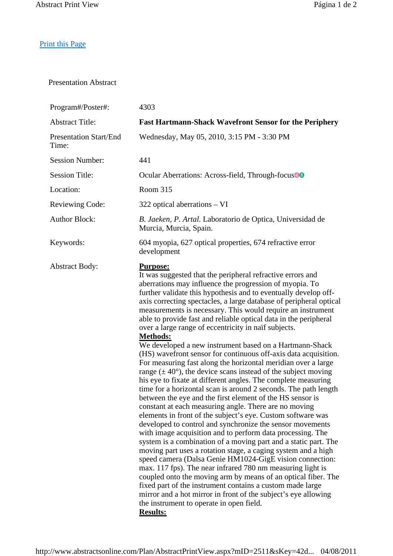## Print this Page

## Presentation Abstract

| Program#/Poster#:                      | 4303                                                                                                                                                                                                                                                                                                                                                                                                                                                                                                                                                                                                                                                                                                                                                                                                                                                                                                                                                                                                                                                                                                                                                                                                                                                                                                                                                                                                                                                                                                                                                                                                                                                                                                                                                         |
|----------------------------------------|--------------------------------------------------------------------------------------------------------------------------------------------------------------------------------------------------------------------------------------------------------------------------------------------------------------------------------------------------------------------------------------------------------------------------------------------------------------------------------------------------------------------------------------------------------------------------------------------------------------------------------------------------------------------------------------------------------------------------------------------------------------------------------------------------------------------------------------------------------------------------------------------------------------------------------------------------------------------------------------------------------------------------------------------------------------------------------------------------------------------------------------------------------------------------------------------------------------------------------------------------------------------------------------------------------------------------------------------------------------------------------------------------------------------------------------------------------------------------------------------------------------------------------------------------------------------------------------------------------------------------------------------------------------------------------------------------------------------------------------------------------------|
| <b>Abstract Title:</b>                 | <b>Fast Hartmann-Shack Wavefront Sensor for the Periphery</b>                                                                                                                                                                                                                                                                                                                                                                                                                                                                                                                                                                                                                                                                                                                                                                                                                                                                                                                                                                                                                                                                                                                                                                                                                                                                                                                                                                                                                                                                                                                                                                                                                                                                                                |
| <b>Presentation Start/End</b><br>Time: | Wednesday, May 05, 2010, 3:15 PM - 3:30 PM                                                                                                                                                                                                                                                                                                                                                                                                                                                                                                                                                                                                                                                                                                                                                                                                                                                                                                                                                                                                                                                                                                                                                                                                                                                                                                                                                                                                                                                                                                                                                                                                                                                                                                                   |
| <b>Session Number:</b>                 | 441                                                                                                                                                                                                                                                                                                                                                                                                                                                                                                                                                                                                                                                                                                                                                                                                                                                                                                                                                                                                                                                                                                                                                                                                                                                                                                                                                                                                                                                                                                                                                                                                                                                                                                                                                          |
| <b>Session Title:</b>                  | Ocular Aberrations: Across-field, Through-focus <sup>00</sup>                                                                                                                                                                                                                                                                                                                                                                                                                                                                                                                                                                                                                                                                                                                                                                                                                                                                                                                                                                                                                                                                                                                                                                                                                                                                                                                                                                                                                                                                                                                                                                                                                                                                                                |
| Location:                              | <b>Room 315</b>                                                                                                                                                                                                                                                                                                                                                                                                                                                                                                                                                                                                                                                                                                                                                                                                                                                                                                                                                                                                                                                                                                                                                                                                                                                                                                                                                                                                                                                                                                                                                                                                                                                                                                                                              |
| <b>Reviewing Code:</b>                 | $322$ optical aberrations – VI                                                                                                                                                                                                                                                                                                                                                                                                                                                                                                                                                                                                                                                                                                                                                                                                                                                                                                                                                                                                                                                                                                                                                                                                                                                                                                                                                                                                                                                                                                                                                                                                                                                                                                                               |
| <b>Author Block:</b>                   | B. Jaeken, P. Artal. Laboratorio de Optica, Universidad de<br>Murcia, Murcia, Spain.                                                                                                                                                                                                                                                                                                                                                                                                                                                                                                                                                                                                                                                                                                                                                                                                                                                                                                                                                                                                                                                                                                                                                                                                                                                                                                                                                                                                                                                                                                                                                                                                                                                                         |
| Keywords:                              | 604 myopia, 627 optical properties, 674 refractive error<br>development                                                                                                                                                                                                                                                                                                                                                                                                                                                                                                                                                                                                                                                                                                                                                                                                                                                                                                                                                                                                                                                                                                                                                                                                                                                                                                                                                                                                                                                                                                                                                                                                                                                                                      |
| <b>Abstract Body:</b>                  | <b>Purpose:</b><br>It was suggested that the peripheral refractive errors and<br>aberrations may influence the progression of myopia. To<br>further validate this hypothesis and to eventually develop off-<br>axis correcting spectacles, a large database of peripheral optical<br>measurements is necessary. This would require an instrument<br>able to provide fast and reliable optical data in the peripheral<br>over a large range of eccentricity in naïf subjects.<br><b>Methods:</b><br>We developed a new instrument based on a Hartmann-Shack<br>(HS) wavefront sensor for continuous off-axis data acquisition.<br>For measuring fast along the horizontal meridian over a large<br>range $(\pm 40^{\circ})$ , the device scans instead of the subject moving<br>his eye to fixate at different angles. The complete measuring<br>time for a horizontal scan is around 2 seconds. The path length<br>between the eye and the first element of the HS sensor is<br>constant at each measuring angle. There are no moving<br>elements in front of the subject's eye. Custom software was<br>developed to control and synchronize the sensor movements<br>with image acquisition and to perform data processing. The<br>system is a combination of a moving part and a static part. The<br>moving part uses a rotation stage, a caging system and a high<br>speed camera (Dalsa Genie HM1024-GigE vision connection:<br>max. 117 fps). The near infrared 780 nm measuring light is<br>coupled onto the moving arm by means of an optical fiber. The<br>fixed part of the instrument contains a custom made large<br>mirror and a hot mirror in front of the subject's eye allowing<br>the instrument to operate in open field.<br><b>Results:</b> |